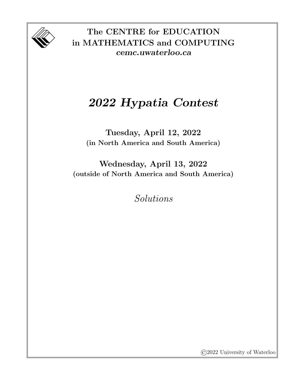

The CENTRE for EDUCATION in MATHEMATICS and COMPUTING cemc.uwaterloo.ca

## 2022 Hypatia Contest

Tuesday, April 12, 2022 (in North America and South America)

Wednesday, April 13, 2022 (outside of North America and South America)

Solutions

©2022 University of Waterloo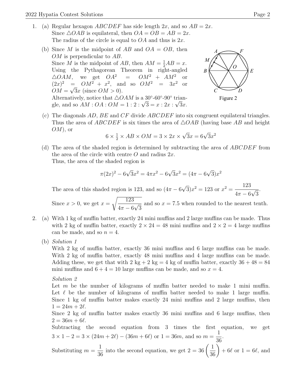- 1. (a) Regular hexagon *ABCDEF* has side length  $2x$ , and so  $AB = 2x$ . Since  $\triangle OAB$  is equilateral, then  $OA = OB = AB = 2x$ . The radius of the circle is equal to  $OA$  and thus is  $2x$ .
	- (b) Since M is the midpoint of AB and  $OA = OB$ , then OM is perpendicular to AB. Since M is the midpoint of AB, then  $AM = \frac{1}{2}AB = x$ . Using the Pythagorean Theorem in right-angled  $\triangle OAM$ , we get  $OA^2 = OM^2 + AM^2$  $(2x)^2 = OM^2 + x^2$ , and so  $OM^2 = 3x$  $\overline{\text{or}}$  $OM = \sqrt{3x}$  (since  $OM > 0$ ). Alternatively, notice that  $\triangle OAM$  is a 30°-60°-90° trian-Alternatively, notice that  $\triangle OAM$  is a 30'-00'-90' trian-<br>gle, and so  $AM:OA:OM = 1:2: \sqrt{3} = x:2x: \sqrt{3}x$ .



Figure 2

(c) The diagonals  $AD$ ,  $BE$  and  $CF$  divide  $ABCDEF$  into six congruent equilateral triangles. Thus the area of ABCDEF is six times the area of  $\triangle OAB$  (having base AB and height  $OM$ , or √

$$
6 \times \frac{1}{2} \times AB \times OM = 3 \times 2x \times \sqrt{3}x = 6\sqrt{3}x^2
$$

(d) The area of the shaded region is determined by subtracting the area of ABCDEF from the area of the circle with centre  $O$  and radius  $2x$ . Thus, the area of the shaded region is

$$
\pi (2x)^2 - 6\sqrt{3}x^2 = 4\pi x^2 - 6\sqrt{3}x^2 = (4\pi - 6\sqrt{3})x^2
$$

The area of this shaded region is 123, and so  $(4\pi - 6)$ √  $\overline{3})x^2 = 123$  or  $x^2 = \frac{123}{123}$  $4\pi - 6$ √ 3 .

Since  $x > 0$ , we get  $x =$  $\sqrt{123}$  $4\pi - 6$ √ 3 and so  $x = 7.5$  when rounded to the nearest tenth.

- 2. (a) With 1 kg of muffin batter, exactly 24 mini muffins and 2 large muffins can be made. Thus with 2 kg of muffin batter, exactly  $2 \times 24 = 48$  mini muffins and  $2 \times 2 = 4$  large muffins can be made, and so  $n = 4$ .
	- (b) Solution 1

With 2 kg of muffin batter, exactly 36 mini muffins and 6 large muffins can be made. With 2 kg of muffin batter, exactly 48 mini muffins and 4 large muffins can be made. Adding these, we get that with  $2 \text{ kg} + 2 \text{ kg} = 4 \text{ kg}$  of muffin batter, exactly  $36 + 48 = 84$ mini muffins and  $6 + 4 = 10$  large muffins can be made, and so  $x = 4$ .

Solution 2

Let m be the number of kilograms of muffin batter needed to make 1 mini muffin. Let  $\ell$  be the number of kilograms of muffin batter needed to make 1 large muffin. Since 1 kg of muffin batter makes exactly 24 mini muffins and 2 large muffins, then  $1 = 24m + 2\ell$ .

Since 2 kg of muffin batter makes exactly 36 mini muffins and 6 large muffins, then  $2 = 36m + 6\ell$ .

Subtracting the second equation from 3 times the first equation, we get  $3 \times 1 - 2 = 3 \times (24m + 2\ell) - (36m + 6\ell)$  or  $1 = 36m$ , and so  $m = \frac{1}{26}$ 36 .

Substituting 
$$
m = \frac{1}{36}
$$
 into the second equation, we get  $2 = 36 \left(\frac{1}{36}\right) + 6\ell$  or  $1 = 6\ell$ , and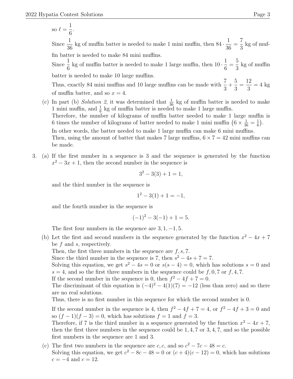so  $\ell =$ 1 6 . Since  $\frac{1}{2}$ 36 kg of muffin batter is needed to make 1 mini muffin, then  $84 \cdot \frac{1}{26}$ 36 = 7 3 kg of muffin batter is needed to make 84 mini muffins. Since  $\frac{1}{6}$ kg of muffin batter is needed to make 1 large muffin, then  $10 \cdot \frac{1}{6}$ = 5 kg of muffin

6 6 3 batter is needed to make 10 large muffins.

Thus, exactly 84 mini muffins and 10 large muffins can be made with  $\frac{7}{9}$ 3  $+$ 5 3 = 12 3  $= 4$  kg of muffin batter, and so  $x = 4$ .

- (c) In part (b) Solution 2, it was determined that  $\frac{1}{36}$  kg of muffin batter is needed to make 1 mini muffin, and  $\frac{1}{6}$  kg of muffin batter is needed to make 1 large muffin. Therefore, the number of kilograms of muffin batter needed to make 1 large muffin is 6 times the number of kilograms of batter needed to make 1 mini muffin  $(6 \times \frac{1}{36} = \frac{1}{6})$  $\frac{1}{6}$ . In other words, the batter needed to make 1 large muffin can make 6 mini muffins. Then, using the amount of batter that makes 7 large muffins,  $6 \times 7 = 42$  mini muffins can be made.
- 3. (a) If the first number in a sequence is 3 and the sequence is generated by the function  $x^2 - 3x + 1$ , then the second number in the sequence is

$$
3^2 - 3(3) + 1 = 1,
$$

and the third number in the sequence is

 $1^2 - 3(1) + 1 = -1$ ,

and the fourth number in the sequence is

$$
(-1)^2 - 3(-1) + 1 = 5.
$$

The first four numbers in the sequence are  $3, 1, -1, 5$ .

- (b) Let the first and second numbers in the sequence generated by the function  $x^2 4x + 7$ be  $f$  and  $s$ , respectively.
	- Then, the first three numbers in the sequence are  $f, s, 7$ .

Since the third number in the sequence is 7, then  $s^2 - 4s + 7 = 7$ .

Solving this equation, we get  $s^2 - 4s = 0$  or  $s(s - 4) = 0$ , which has solutions  $s = 0$  and  $s = 4$ , and so the first three numbers in the sequence could be  $f, 0, 7$  or  $f, 4, 7$ .

If the second number in the sequence is 0, then  $f^2 - 4f + 7 = 0$ .

The discriminant of this equation is  $(-4)^2 - 4(1)(7) = -12$  (less than zero) and so there are no real solutions.

Thus, there is no first number in this sequence for which the second number is 0.

If the second number in the sequence is 4, then  $f^2 - 4f + 7 = 4$ , or  $f^2 - 4f + 3 = 0$  and so  $(f-1)(f-3) = 0$ , which has solutions  $f = 1$  and  $f = 3$ .

Therefore, if 7 is the third number in a sequence generated by the function  $x^2 - 4x + 7$ , then the first three numbers in the sequence could be  $1, 4, 7$  or  $3, 4, 7$ , and so the possible first numbers in the sequence are 1 and 3.

(c) The first two numbers in the sequence are c, c, and so  $c^2 - 7c - 48 = c$ . Solving this equation, we get  $c^2 - 8c - 48 = 0$  or  $(c+4)(c-12) = 0$ , which has solutions  $c = -4$  and  $c = 12$ .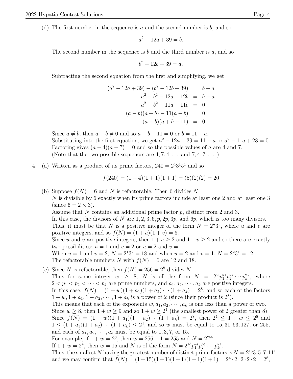(d) The first number in the sequence is a and the second number is  $b$ , and so

$$
a^2 - 12a + 39 = b.
$$

The second number in the sequence is b and the third number is a, and so

$$
b^2 - 12b + 39 = a.
$$

Subtracting the second equation from the first and simplifying, we get

$$
(a2 - 12a + 39) - (b2 - 12b + 39) = b - a
$$
  
\n
$$
a2 - b2 - 12a + 12b = b - a
$$
  
\n
$$
a2 - b2 - 11a + 11b = 0
$$
  
\n
$$
(a - b)(a + b) - 11(a - b) = 0
$$
  
\n
$$
(a - b)(a + b - 11) = 0
$$

Since  $a \neq b$ , then  $a - b \neq 0$  and so  $a + b - 11 = 0$  or  $b = 11 - a$ . Substituting into the first equation, we get  $a^2 - 12a + 39 = 11 - a$  or  $a^2 - 11a + 28 = 0$ . Factoring gives  $(a-4)(a-7) = 0$  and so the possible values of a are 4 and 7. (Note that the two possible sequences are  $4, 7, 4, \ldots$  and  $7, 4, 7, \ldots$ )

4. (a) Written as a product of its prime factors,  $240 = 2^43^15^1$  and so

$$
f(240) = (1+4)(1+1)(1+1) = (5)(2)(2) = 20
$$

- (b) Suppose  $f(N) = 6$  and N is refactorable. Then 6 divides N. N is divisible by 6 exactly when its prime factors include at least one 2 and at least one 3 (since  $6 = 2 \times 3$ ). Assume that N contains an additional prime factor p, distinct from 2 and 3. In this case, the divisors of N are  $1, 2, 3, 6, p, 2p, 3p$ , and  $6p$ , which is too many divisors. Thus, it must be that N is a positive integer of the form  $N = 2^u 3^v$ , where u and v are positive integers, and so  $f(N) = (1 + u)(1 + v) = 6$ . Since u and v are positive integers, then  $1 + u \geq 2$  and  $1 + v \geq 2$  and so there are exactly two possibilities:  $u = 1$  and  $v = 2$  or  $u = 2$  and  $v = 1$ . When  $u = 1$  and  $v = 2$ ,  $N = 2^2 3^2 = 18$  and when  $u = 2$  and  $v = 1$ ,  $N = 2^2 3^2 = 12$ . The refactorable numbers N with  $f(N) = 6$  are 12 and 18.
- (c) Since N is refactorable, then  $f(N) = 256 = 2^8$  divides N. Thus for some integer  $w \geq 8$ , N is of the form  $N = 2^{w} p_1^{a_1} p_2^{a_2} \cdots p_k^{a_k}$ , where  $2 < p_1 < p_2 < \cdots < p_k$  are prime numbers, and  $a_1, a_2, \cdots, a_k$  are positive integers. In this case,  $f(N) = (1 + w)(1 + a_1)(1 + a_2) \cdots (1 + a_k) = 2^8$ , and so each of the factors  $1 + w, 1 + a_1, 1 + a_2, \dots, 1 + a_k$  is a power of 2 (since their product is  $2^8$ ). This means that each of the exponents  $w, a_1, a_2, \dots, a_k$  is one less than a power of two. Since  $w \ge 8$ , then  $1 + w \ge 9$  and so  $1 + w \ge 2^4$  (the smallest power of 2 greater than 8). Since  $f(N) = (1+w)(1+a_1)(1+a_2)\cdots(1+a_k) = 2^8$ , then  $2^4 \leq 1+w \leq 2^8$  and  $1 \leq (1 + a_1)(1 + a_2) \cdots (1 + a_k) \leq 2^4$ , and so w must be equal to 15, 31, 63, 127, or 255, and each of  $a_1, a_2, \dots, a_k$  must be equal to 1, 3, 7, or 15. For example, if  $1 + w = 2^8$ , then  $w = 256 - 1 = 255$  and  $N = 2^{255}$ . If  $1 + w = 2^4$ , then  $w = 15$  and N is of the form  $N = 2^{15} p_1^{a_1} p_2^{a_2} \cdots p_k^{a_k}$ . Thus, the smallest N having the greatest number of distinct prime factors is  $N = 2^{15}3^{1}5^{1}7^{1}11^{1}$ , and we may confirm that  $f(N) = (1+15)(1+1)(1+1)(1+1)(1+1) = 2<sup>4</sup> \cdot 2 \cdot 2 \cdot 2 \cdot 2 = 2<sup>8</sup>$ ,